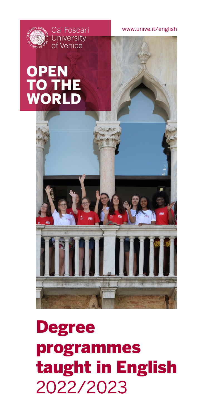



## **OPEN** TO THE WORLD





# Degree programmes taught in English 2022/2023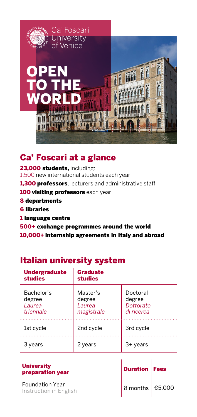

#### Ca' Foscari at a glance

23.000 students, including: 1,500 new international students each year **1.300 professors**, lecturers and administrative staff **100 visiting professors** each year 8 departments 6 libraries 1 language centre 500+ exchange programmes around the world 10,000+ internship agreements in Italy and abroad

#### Italian university system

| <b>Undergraduate</b><br><b>studies</b>             | <b>Graduate</b><br><b>studies</b>                 |                                               |
|----------------------------------------------------|---------------------------------------------------|-----------------------------------------------|
| Bachelor's<br>degree<br><i>Laurea</i><br>triennale | Master's<br>degree<br><i>Laurea</i><br>magistrale | Doctoral<br>degree<br>Dottorato<br>di ricerca |
| 1st cycle                                          | 2nd cycle                                         | 3rd cycle                                     |
| 3 vears                                            | 2 years                                           | 3+ years                                      |

| <b>University</b><br>preparation year            | <b>Duration   Fees</b>  |  |
|--------------------------------------------------|-------------------------|--|
| <b>Foundation Year</b><br>Instruction in English | 8 months $\big $ €5,000 |  |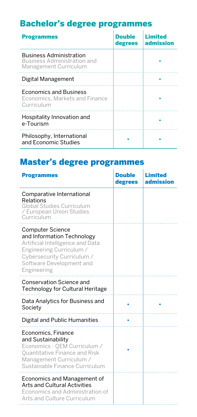## Bachelor's degree programmes

| <b>Programmes</b>                                                                      | <b>Double</b><br>degrees | Limited<br>admission |
|----------------------------------------------------------------------------------------|--------------------------|----------------------|
| <b>Business Administration</b><br>Business Administration and<br>Management Curriculum |                          |                      |
| Digital Management                                                                     |                          |                      |
| <b>Economics and Business</b><br>Economics. Markets and Finance<br>Curriculum          |                          |                      |
| Hospitality Innovation and<br>e-Tourism                                                |                          |                      |
| Philosophy, International<br>and Economic Studies                                      |                          |                      |

## Master's degree programmes

| <b>Programmes</b>                                                                                                                                                                              | <b>Double</b><br>degrees | <b>Limited</b><br>admission |
|------------------------------------------------------------------------------------------------------------------------------------------------------------------------------------------------|--------------------------|-----------------------------|
| Comparative International<br>Relations<br>Global Studies Curriculum<br>/ European Union Studies<br>Curriculum                                                                                  |                          |                             |
| <b>Computer Science</b><br>and Information Technology<br>Artificial Intelligence and Data<br>Engineering Curriculum /<br>Cybersecurity Curriculum /<br>Software Development and<br>Engineering |                          |                             |
| Conservation Science and<br>Technology for Cultural Heritage                                                                                                                                   |                          |                             |
| Data Analytics for Business and<br>Society                                                                                                                                                     |                          |                             |
| Digital and Public Humanities                                                                                                                                                                  |                          |                             |
| Economics, Finance<br>and Sustainability<br>Economics - OEM Curriculum /<br>Quantitative Finance and Risk<br>Management Curriculum /<br>Sustainable Finance Curriculum                         |                          |                             |
| Economics and Management of<br>Arts and Cultural Activities<br>Economics and Administration of<br>Arts and Culture Curriculum<br>.                                                             |                          |                             |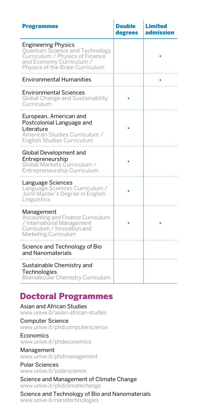| <b>Programmes</b>                                                                                                                                                     | Double<br>degrees | Limited<br>admission |
|-----------------------------------------------------------------------------------------------------------------------------------------------------------------------|-------------------|----------------------|
| <b>Engineering Physics</b><br><b>Quantum Science and Technology</b><br>Curriculum / Physics of Finance<br>and Economy Curriculum /<br>Physics of the Brain Curriculum |                   |                      |
| <b>Environmental Humanities</b>                                                                                                                                       |                   |                      |
| <b>Environmental Sciences</b><br>Global Change and Sustainability<br>Curriculum                                                                                       |                   |                      |
| European, American and<br>Postcolonial Language and<br>Literature<br>American Studies Curriculum /<br><b>English Studies Curriculum</b>                               |                   |                      |
| Global Development and<br>Entrepreneurship<br>Global Markets Curriculum /<br>Entrepreneurship Curriculum                                                              |                   |                      |
| Language Sciences<br>Language Sciences Curriculum /<br>Joint Master's Degree in English<br>Linguistics                                                                |                   |                      |
| Management<br>Accounting and Finance Curriculum<br>/ International Management<br>Curriculum / Innovation and<br>Marketing Curriculum                                  |                   |                      |
| Science and Technology of Bio<br>and Nanomaterials                                                                                                                    |                   |                      |
| Sustainable Chemistry and<br>Technologies<br>Biomolecular Chemistry Curriculum                                                                                        |                   |                      |

#### Doctoral Programmes

Asian and African Studies www.unive.it/asian-african-studies

Computer Science www.unive.it/phdcomputerscience

Economics www.unive.it/phdeconomics

Management www.unive.it/phdmanagement

Polar Sciences www.unive.it/polarscience

Science and Management of Climate Change www.unive.it/phdclimatechange

Science and Technology of Bio and Nanomaterials www.unive.it/nanotechnologies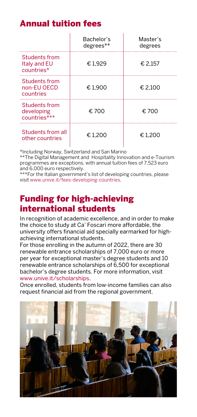## Annual tuition fees

|                                                    | Bachelor's<br>degrees** | Master's<br>degrees |
|----------------------------------------------------|-------------------------|---------------------|
| Students from<br><b>Italy and EU</b><br>countries* | €1.929                  | € 2.157             |
| Students from<br>non-EU OECD<br>countries          | €1,900                  | € 2.100             |
| Students from<br>developing<br>countries***        | € 700                   | € 700               |
| Students from all<br>other countries               | € 1.200                 | € 1.200             |

\*Including Norway, Switzerland and San Marino

\*\*The Digital Management and Hospitality Innovation and e-Tourism programmes are exceptions, with annual tuition fees of 7,523 euro and 6,000 euro respectively.

\*\*\*For the Italian government's list of developing countries, please visit www.unive.it/fees-developing-countries.

#### Funding for high-achieving international students

In recognition of academic excellence, and in order to make the choice to study at Ca' Foscari more affordable, the university offers financial aid specially earmarked for highachieving international students.

For those enrolling in the autumn of 2022, there are 30 renewable entrance scholarships of 7,000 euro or more per year for exceptional master's degree students and 10 renewable entrance scholarships of 6,500 for exceptional bachelor's degree students. For more information, visit www.unive.it/scholarships.

Once enrolled, students from low-income families can also request financial aid from the regional government.